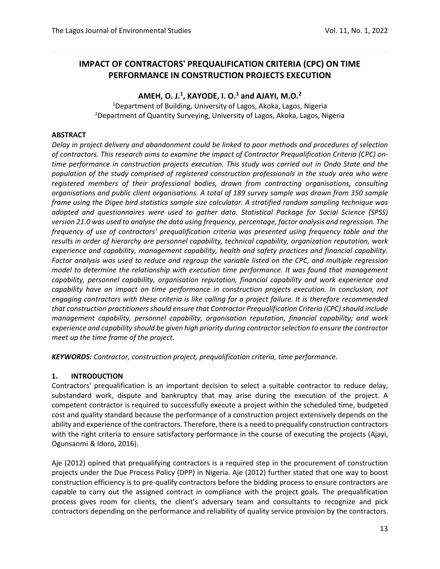# **IMPACT OF CONTRACTORS' PREQUALIFICATION CRITERIA (CPC) ON TIME PERFORMANCE IN CONSTRUCTION PROJECTS EXECUTION**

## **AMEH, O. J.<sup>1</sup> , KAYODE, I. O.<sup>1</sup> and AJAYI, M.O.<sup>2</sup>**

<sup>1</sup>Department of Building, University of Lagos, Akoka, Lagos, Nigeria <sup>2</sup>Department of Quantity Surveying, University of Lagos, Akoka, Lagos, Nigeria

#### **ABSTRACT**

*Delay in project delivery and abandonment could be linked to poor methods and procedures of selection of contractors. This research aims to examine the impact of Contractor Prequalification Criteria (CPC) ontime performance in construction projects execution. This study was carried out in Ondo State and the population of the study comprised of registered construction professionals in the study area who were registered members of their professional bodies, drawn from contracting organisations, consulting organisations and public client organisations. A total of 189 survey sample was drawn from 350 sample frame using the Digee bird statistics sample size calculator. A stratified random sampling technique was adopted and questionnaires were used to gather data. Statistical Package for Social Science (SPSS) version 21.0 was used to analyse the data using frequency, percentage, factor analysis and regression. The frequency of use of contractors' prequalification criteria was presented using frequency table and the results in order of hierarchy are personnel capability, technical capability, organization reputation, work experience and capability, management capability, health and safety practices and financial capability. Factor analysis was used to reduce and regroup the variable listed on the CPC, and multiple regression model to determine the relationship with execution time performance. It was found that management capability, personnel capability, organisation reputation, financial capability and work experience and capability have an impact on time performance in construction projects execution. In conclusion, not engaging contractors with these criteria is like calling for a project failure. It is therefore recommended that construction practitioners should ensure that Contractor Prequalification Criteria (CPC) should include management capability, personnel capability, organisation reputation, financial capability; and work experience and capability should be given high priority during contractor selection to ensure the contractor meet up the time frame of the project.* 

*KEYWORDS: Contractor, construction project, prequalification criteria, time performance.* 

#### **1. INTRODUCTION**

Contractors' prequalification is an important decision to select a suitable contractor to reduce delay, substandard work, dispute and bankruptcy that may arise during the execution of the project. A competent contractor is required to successfully execute a project within the scheduled time, budgeted cost and quality standard because the performance of a construction project extensively depends on the ability and experience of the contractors. Therefore, there is a need to prequalify construction contractors with the right criteria to ensure satisfactory performance in the course of executing the projects (Ajayi, Ogunsanmi & Idoro, 2016).

Aje (2012) opined that prequalifying contractors is a required step in the procurement of construction projects under the Due Process Policy (DPP) in Nigeria. Aje (2012) further stated that one way to boost construction efficiency is to pre-qualify contractors before the bidding process to ensure contractors are capable to carry out the assigned contract in compliance with the project goals. The prequalification process gives room for clients, the client's adversary team and consultants to recognize and pick contractors depending on the performance and reliability of quality service provision by the contractors.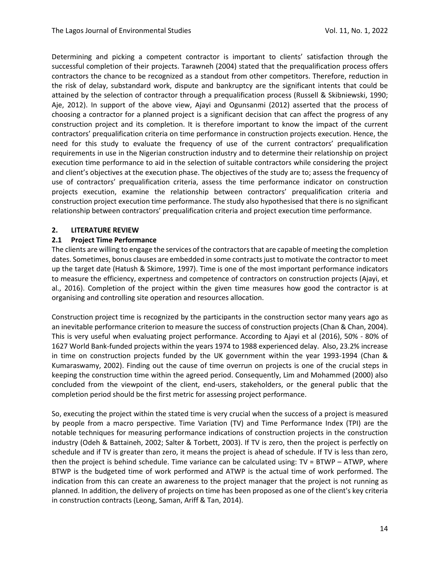Determining and picking a competent contractor is important to clients' satisfaction through the successful completion of their projects. Tarawneh (2004) stated that the prequalification process offers contractors the chance to be recognized as a standout from other competitors. Therefore, reduction in the risk of delay, substandard work, dispute and bankruptcy are the significant intents that could be attained by the selection of contractor through a prequalification process (Russell & Skibniewski, 1990; Aje, 2012). In support of the above view, Ajayi and Ogunsanmi (2012) asserted that the process of choosing a contractor for a planned project is a significant decision that can affect the progress of any construction project and its completion. It is therefore important to know the impact of the current contractors' prequalification criteria on time performance in construction projects execution. Hence, the need for this study to evaluate the frequency of use of the current contractors' prequalification requirements in use in the Nigerian construction industry and to determine their relationship on project execution time performance to aid in the selection of suitable contractors while considering the project and client's objectives at the execution phase. The objectives of the study are to; assess the frequency of use of contractors' prequalification criteria, assess the time performance indicator on construction projects execution, examine the relationship between contractors' prequalification criteria and construction project execution time performance. The study also hypothesised that there is no significant relationship between contractors' prequalification criteria and project execution time performance.

#### **2. LITERATURE REVIEW**

#### **2.1 Project Time Performance**

The clients are willing to engage the services of the contractors that are capable of meeting the completion dates. Sometimes, bonus clauses are embedded in some contracts just to motivate the contractor to meet up the target date (Hatush & Skimore, 1997). Time is one of the most important performance indicators to measure the efficiency, expertness and competence of contractors on construction projects (Ajayi, et al., 2016). Completion of the project within the given time measures how good the contractor is at organising and controlling site operation and resources allocation.

Construction project time is recognized by the participants in the construction sector many years ago as an inevitable performance criterion to measure the success of construction projects (Chan & Chan, 2004). This is very useful when evaluating project performance. According to Ajayi et al (2016), 50% - 80% of 1627 World Bank-funded projects within the years 1974 to 1988 experienced delay. Also, 23.2% increase in time on construction projects funded by the UK government within the year 1993-1994 (Chan & Kumaraswamy, 2002). Finding out the cause of time overrun on projects is one of the crucial steps in keeping the construction time within the agreed period. Consequently, Lim and Mohammed (2000) also concluded from the viewpoint of the client, end-users, stakeholders, or the general public that the completion period should be the first metric for assessing project performance.

So, executing the project within the stated time is very crucial when the success of a project is measured by people from a macro perspective. Time Variation (TV) and Time Performance Index (TPI) are the notable techniques for measuring performance indications of construction projects in the construction industry (Odeh & Battaineh, 2002; Salter & Torbett, 2003). If TV is zero, then the project is perfectly on schedule and if TV is greater than zero, it means the project is ahead of schedule. If TV is less than zero, then the project is behind schedule. Time variance can be calculated using:  $TV = BTWP - ATWP$ , where BTWP is the budgeted time of work performed and ATWP is the actual time of work performed. The indication from this can create an awareness to the project manager that the project is not running as planned. In addition, the delivery of projects on time has been proposed as one of the client's key criteria in construction contracts (Leong, Saman, Ariff & Tan, 2014).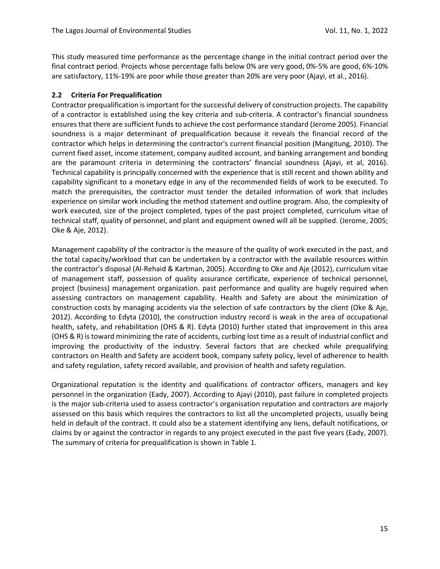This study measured time performance as the percentage change in the initial contract period over the final contract period. Projects whose percentage falls below 0% are very good, 0%-5% are good, 6%-10% are satisfactory, 11%-19% are poor while those greater than 20% are very poor (Ajayi, et al., 2016).

#### **2.2 Criteria For Prequalification**

Contractor prequalification is important for the successful delivery of construction projects. The capability of a contractor is established using the key criteria and sub-criteria. A contractor's financial soundness ensures that there are sufficient funds to achieve the cost performance standard (Jerome 2005). Financial soundness is a major determinant of prequalification because it reveals the financial record of the contractor which helps in determining the contractor's current financial position (Mangitung, 2010). The current fixed asset, income statement, company audited account, and banking arrangement and bonding are the paramount criteria in determining the contractors' financial soundness (Ajayi, et al, 2016). Technical capability is principally concerned with the experience that is still recent and shown ability and capability significant to a monetary edge in any of the recommended fields of work to be executed. To match the prerequisites, the contractor must tender the detailed information of work that includes experience on similar work including the method statement and outline program. Also, the complexity of work executed, size of the project completed, types of the past project completed, curriculum vitae of technical staff, quality of personnel, and plant and equipment owned will all be supplied. (Jerome, 2005; Oke & Aje, 2012).

Management capability of the contractor is the measure of the quality of work executed in the past, and the total capacity/workload that can be undertaken by a contractor with the available resources within the contractor's disposal (Al-Rehaid & Kartman, 2005). According to Oke and Aje (2012), curriculum vitae of management staff, possession of quality assurance certificate, experience of technical personnel, project (business) management organization. past performance and quality are hugely required when assessing contractors on management capability. Health and Safety are about the minimization of construction costs by managing accidents via the selection of safe contractors by the client (Oke & Aje, 2012). According to Edyta (2010), the construction industry record is weak in the area of occupational health, safety, and rehabilitation (OHS & R). Edyta (2010) further stated that improvement in this area (OHS & R) is toward minimizing the rate of accidents, curbing lost time as a result of industrial conflict and improving the productivity of the industry. Several factors that are checked while prequalifying contractors on Health and Safety are accident book, company safety policy, level of adherence to health and safety regulation, safety record available, and provision of health and safety regulation.

Organizational reputation is the identity and qualifications of contractor officers, managers and key personnel in the organization (Eady, 2007). According to Ajayi (2010), past failure in completed projects is the major sub-criteria used to assess contractor's organisation reputation and contractors are majorly assessed on this basis which requires the contractors to list all the uncompleted projects, usually being held in default of the contract. It could also be a statement identifying any liens, default notifications, or claims by or against the contractor in regards to any project executed in the past five years (Eady, 2007). The summary of criteria for prequalification is shown in Table 1.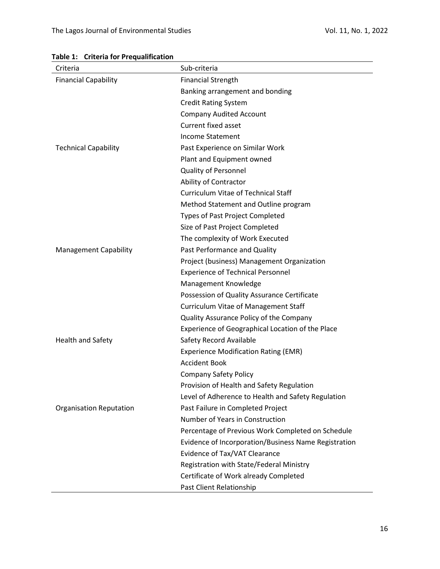| Criteria                       | Sub-criteria                                         |
|--------------------------------|------------------------------------------------------|
| <b>Financial Capability</b>    | <b>Financial Strength</b>                            |
|                                | Banking arrangement and bonding                      |
|                                | <b>Credit Rating System</b>                          |
|                                | <b>Company Audited Account</b>                       |
|                                | <b>Current fixed asset</b>                           |
|                                | <b>Income Statement</b>                              |
| <b>Technical Capability</b>    | Past Experience on Similar Work                      |
|                                | Plant and Equipment owned                            |
|                                | <b>Quality of Personnel</b>                          |
|                                | Ability of Contractor                                |
|                                | <b>Curriculum Vitae of Technical Staff</b>           |
|                                | Method Statement and Outline program                 |
|                                | <b>Types of Past Project Completed</b>               |
|                                | Size of Past Project Completed                       |
|                                | The complexity of Work Executed                      |
| <b>Management Capability</b>   | Past Performance and Quality                         |
|                                | Project (business) Management Organization           |
|                                | <b>Experience of Technical Personnel</b>             |
|                                | Management Knowledge                                 |
|                                | Possession of Quality Assurance Certificate          |
|                                | Curriculum Vitae of Management Staff                 |
|                                | Quality Assurance Policy of the Company              |
|                                | Experience of Geographical Location of the Place     |
| Health and Safety              | Safety Record Available                              |
|                                | <b>Experience Modification Rating (EMR)</b>          |
|                                | <b>Accident Book</b>                                 |
|                                | <b>Company Safety Policy</b>                         |
|                                | Provision of Health and Safety Regulation            |
|                                | Level of Adherence to Health and Safety Regulation   |
| <b>Organisation Reputation</b> | Past Failure in Completed Project                    |
|                                | Number of Years in Construction                      |
|                                | Percentage of Previous Work Completed on Schedule    |
|                                | Evidence of Incorporation/Business Name Registration |
|                                | Evidence of Tax/VAT Clearance                        |
|                                | Registration with State/Federal Ministry             |
|                                | Certificate of Work already Completed                |
|                                | Past Client Relationship                             |

# **Table 1: Criteria for Prequalification**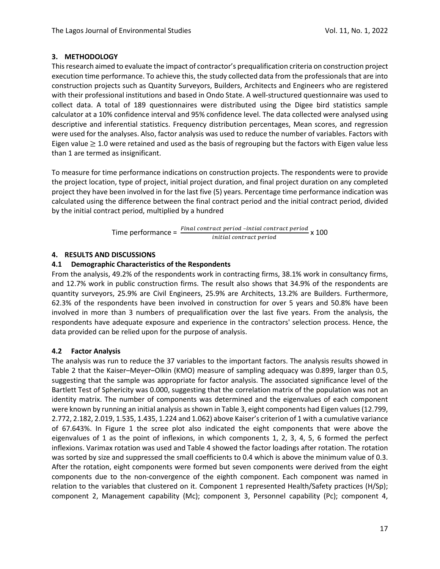# **3. METHODOLOGY**

This research aimed to evaluate the impact of contractor's prequalification criteria on construction project execution time performance. To achieve this, the study collected data from the professionals that are into construction projects such as Quantity Surveyors, Builders, Architects and Engineers who are registered with their professional institutions and based in Ondo State. A well-structured questionnaire was used to collect data. A total of 189 questionnaires were distributed using the Digee bird statistics sample calculator at a 10% confidence interval and 95% confidence level. The data collected were analysed using descriptive and inferential statistics. Frequency distribution percentages, Mean scores, and regression were used for the analyses. Also, factor analysis was used to reduce the number of variables. Factors with Eigen value  $\geq 1.0$  were retained and used as the basis of regrouping but the factors with Eigen value less than 1 are termed as insignificant.

To measure for time performance indications on construction projects. The respondents were to provide the project location, type of project, initial project duration, and final project duration on any completed project they have been involved in for the last five (5) years. Percentage time performance indication was calculated using the difference between the final contract period and the initial contract period, divided by the initial contract period, multiplied by a hundred

Time performance = 
$$
\frac{Final \, contract \, period \, -initial \, contract \, period}{initial \, contract \, period} \times 100
$$

## **4. RESULTS AND DISCUSSIONS**

## **4.1 Demographic Characteristics of the Respondents**

From the analysis, 49.2% of the respondents work in contracting firms, 38.1% work in consultancy firms, and 12.7% work in public construction firms. The result also shows that 34.9% of the respondents are quantity surveyors, 25.9% are Civil Engineers, 25.9% are Architects, 13.2% are Builders. Furthermore, 62.3% of the respondents have been involved in construction for over 5 years and 50.8% have been involved in more than 3 numbers of prequalification over the last five years. From the analysis, the respondents have adequate exposure and experience in the contractors' selection process. Hence, the data provided can be relied upon for the purpose of analysis.

# **4.2 Factor Analysis**

The analysis was run to reduce the 37 variables to the important factors. The analysis results showed in Table 2 that the Kaiser–Meyer–Olkin (KMO) measure of sampling adequacy was 0.899, larger than 0.5, suggesting that the sample was appropriate for factor analysis. The associated significance level of the Bartlett Test of Sphericity was 0.000, suggesting that the correlation matrix of the population was not an identity matrix. The number of components was determined and the eigenvalues of each component were known by running an initial analysis as shown in Table 3, eight components had Eigen values (12.799, 2.772, 2.182, 2.019, 1.535, 1.435, 1.224 and 1.062) above Kaiser's criterion of 1 with a cumulative variance of 67.643%. In Figure 1 the scree plot also indicated the eight components that were above the eigenvalues of 1 as the point of inflexions, in which components 1, 2, 3, 4, 5, 6 formed the perfect inflexions. Varimax rotation was used and Table 4 showed the factor loadings after rotation. The rotation was sorted by size and suppressed the small coefficients to 0.4 which is above the minimum value of 0.3. After the rotation, eight components were formed but seven components were derived from the eight components due to the non-convergence of the eighth component. Each component was named in relation to the variables that clustered on it. Component 1 represented Health/Safety practices (H/Sp); component 2, Management capability (Mc); component 3, Personnel capability (Pc); component 4,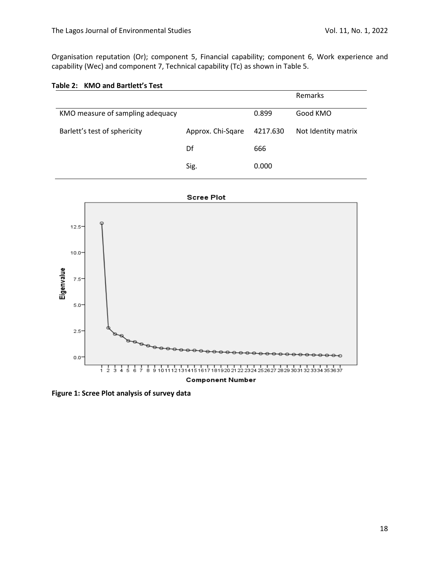Organisation reputation (Or); component 5, Financial capability; component 6, Work experience and capability (Wec) and component 7, Technical capability (Tc) as shown in Table 5.

|  |  |  |  | Table 2: KMO and Bartlett's Test |
|--|--|--|--|----------------------------------|
|--|--|--|--|----------------------------------|

|                                  |                   |          | Remarks             |
|----------------------------------|-------------------|----------|---------------------|
| KMO measure of sampling adequacy |                   | 0.899    | Good KMO            |
| Barlett's test of sphericity     | Approx. Chi-Sqare | 4217.630 | Not Identity matrix |
|                                  | Df                | 666      |                     |
|                                  | Sig.              | 0.000    |                     |



**Figure 1: Scree Plot analysis of survey data**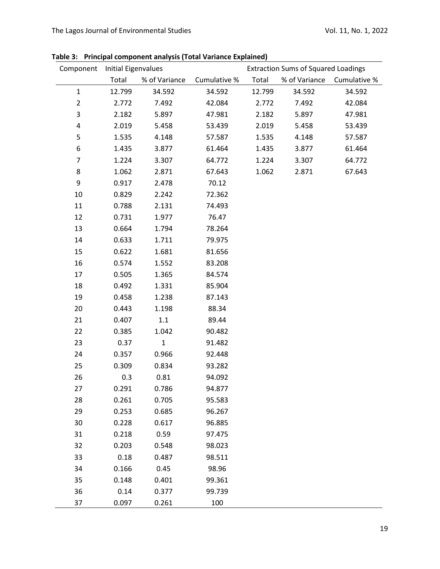| Component      | Initial Eigenvalues |               |              | <b>Extraction Sums of Squared Loadings</b> |               |              |
|----------------|---------------------|---------------|--------------|--------------------------------------------|---------------|--------------|
|                | Total               | % of Variance | Cumulative % | Total                                      | % of Variance | Cumulative % |
| $\mathbf{1}$   | 12.799              | 34.592        | 34.592       | 12.799                                     | 34.592        | 34.592       |
| $\overline{2}$ | 2.772               | 7.492         | 42.084       | 2.772                                      | 7.492         | 42.084       |
| 3              | 2.182               | 5.897         | 47.981       | 2.182                                      | 5.897         | 47.981       |
| $\pmb{4}$      | 2.019               | 5.458         | 53.439       | 2.019                                      | 5.458         | 53.439       |
| 5              | 1.535               | 4.148         | 57.587       | 1.535                                      | 4.148         | 57.587       |
| 6              | 1.435               | 3.877         | 61.464       | 1.435                                      | 3.877         | 61.464       |
| $\overline{7}$ | 1.224               | 3.307         | 64.772       | 1.224                                      | 3.307         | 64.772       |
| 8              | 1.062               | 2.871         | 67.643       | 1.062                                      | 2.871         | 67.643       |
| 9              | 0.917               | 2.478         | 70.12        |                                            |               |              |
| 10             | 0.829               | 2.242         | 72.362       |                                            |               |              |
| 11             | 0.788               | 2.131         | 74.493       |                                            |               |              |
| 12             | 0.731               | 1.977         | 76.47        |                                            |               |              |
| 13             | 0.664               | 1.794         | 78.264       |                                            |               |              |
| 14             | 0.633               | 1.711         | 79.975       |                                            |               |              |
| 15             | 0.622               | 1.681         | 81.656       |                                            |               |              |
| 16             | 0.574               | 1.552         | 83.208       |                                            |               |              |
| 17             | 0.505               | 1.365         | 84.574       |                                            |               |              |
| 18             | 0.492               | 1.331         | 85.904       |                                            |               |              |
| 19             | 0.458               | 1.238         | 87.143       |                                            |               |              |
| 20             | 0.443               | 1.198         | 88.34        |                                            |               |              |
| 21             | 0.407               | $1.1\,$       | 89.44        |                                            |               |              |
| 22             | 0.385               | 1.042         | 90.482       |                                            |               |              |
| 23             | 0.37                | $\mathbf{1}$  | 91.482       |                                            |               |              |
| 24             | 0.357               | 0.966         | 92.448       |                                            |               |              |
| 25             | 0.309               | 0.834         | 93.282       |                                            |               |              |
| 26             | 0.3                 | 0.81          | 94.092       |                                            |               |              |
| 27             | 0.291               | 0.786         | 94.877       |                                            |               |              |
| 28             | 0.261               | 0.705         | 95.583       |                                            |               |              |
| 29             | 0.253               | 0.685         | 96.267       |                                            |               |              |
| 30             | 0.228               | 0.617         | 96.885       |                                            |               |              |
| 31             | 0.218               | 0.59          | 97.475       |                                            |               |              |
| 32             | 0.203               | 0.548         | 98.023       |                                            |               |              |
| 33             | 0.18                | 0.487         | 98.511       |                                            |               |              |
| 34             | 0.166               | 0.45          | 98.96        |                                            |               |              |
| 35             | 0.148               | 0.401         | 99.361       |                                            |               |              |
| 36             | 0.14                | 0.377         | 99.739       |                                            |               |              |
| 37             | 0.097               | 0.261         | 100          |                                            |               |              |

**Table 3: Principal component analysis (Total Variance Explained)**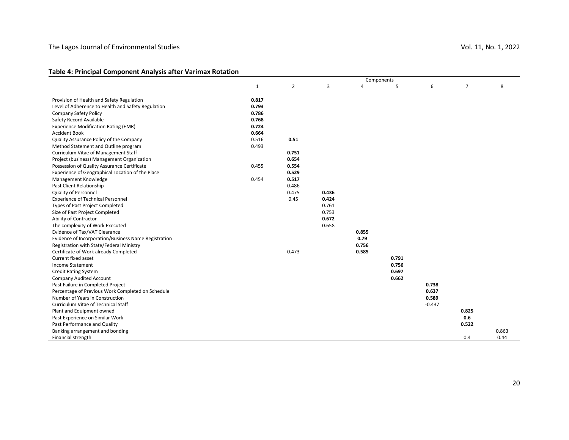## The Lagos Journal of Environmental Studies and Studies vol. 11, No. 1, 2022

#### **Table 4: Principal Component Analysis after Varimax Rotation**

|                                                      | Components |       |       |       |       |          |                |       |
|------------------------------------------------------|------------|-------|-------|-------|-------|----------|----------------|-------|
|                                                      | 1          | 2     | 3     | 4     | 5     | 6        | $\overline{7}$ | 8     |
|                                                      |            |       |       |       |       |          |                |       |
| Provision of Health and Safety Regulation            | 0.817      |       |       |       |       |          |                |       |
| Level of Adherence to Health and Safety Regulation   | 0.793      |       |       |       |       |          |                |       |
| <b>Company Safety Policy</b>                         | 0.786      |       |       |       |       |          |                |       |
| Safety Record Available                              | 0.768      |       |       |       |       |          |                |       |
| <b>Experience Modification Rating (EMR)</b>          | 0.724      |       |       |       |       |          |                |       |
| <b>Accident Book</b>                                 | 0.664      |       |       |       |       |          |                |       |
| Quality Assurance Policy of the Company              | 0.516      | 0.51  |       |       |       |          |                |       |
| Method Statement and Outline program                 | 0.493      |       |       |       |       |          |                |       |
| Curriculum Vitae of Management Staff                 |            | 0.751 |       |       |       |          |                |       |
| Project (business) Management Organization           |            | 0.654 |       |       |       |          |                |       |
| Possession of Quality Assurance Certificate          | 0.455      | 0.554 |       |       |       |          |                |       |
| Experience of Geographical Location of the Place     |            | 0.529 |       |       |       |          |                |       |
| Management Knowledge                                 | 0.454      | 0.517 |       |       |       |          |                |       |
| Past Client Relationship                             |            | 0.486 |       |       |       |          |                |       |
| Quality of Personnel                                 |            | 0.475 | 0.436 |       |       |          |                |       |
| <b>Experience of Technical Personnel</b>             |            | 0.45  | 0.424 |       |       |          |                |       |
| Types of Past Project Completed                      |            |       | 0.761 |       |       |          |                |       |
| Size of Past Project Completed                       |            |       | 0.753 |       |       |          |                |       |
| Ability of Contractor                                |            |       | 0.672 |       |       |          |                |       |
| The complexity of Work Executed                      |            |       | 0.658 |       |       |          |                |       |
| Evidence of Tax/VAT Clearance                        |            |       |       | 0.855 |       |          |                |       |
| Evidence of Incorporation/Business Name Registration |            |       |       | 0.79  |       |          |                |       |
| Registration with State/Federal Ministry             |            |       |       | 0.756 |       |          |                |       |
| Certificate of Work already Completed                |            | 0.473 |       | 0.585 |       |          |                |       |
| Current fixed asset                                  |            |       |       |       | 0.791 |          |                |       |
| <b>Income Statement</b>                              |            |       |       |       | 0.756 |          |                |       |
| <b>Credit Rating System</b>                          |            |       |       |       | 0.697 |          |                |       |
| <b>Company Audited Account</b>                       |            |       |       |       | 0.662 |          |                |       |
| Past Failure in Completed Project                    |            |       |       |       |       | 0.738    |                |       |
| Percentage of Previous Work Completed on Schedule    |            |       |       |       |       | 0.637    |                |       |
| Number of Years in Construction                      |            |       |       |       |       | 0.589    |                |       |
| Curriculum Vitae of Technical Staff                  |            |       |       |       |       | $-0.437$ |                |       |
| Plant and Equipment owned                            |            |       |       |       |       |          | 0.825          |       |
| Past Experience on Similar Work                      |            |       |       |       |       |          | 0.6            |       |
| Past Performance and Quality                         |            |       |       |       |       |          | 0.522          |       |
| Banking arrangement and bonding                      |            |       |       |       |       |          |                | 0.863 |
| Financial strength                                   |            |       |       |       |       |          | 0.4            | 0.44  |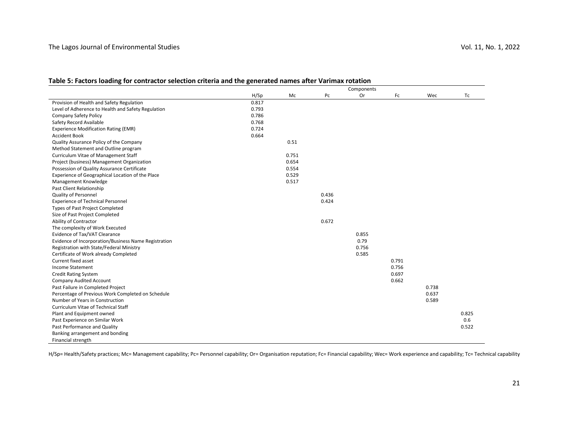#### The Lagos Journal of Environmental Studies and Studies vol. 11, No. 1, 2022

|                                                      |       |       |       | Components |       |       |       |
|------------------------------------------------------|-------|-------|-------|------------|-------|-------|-------|
|                                                      | H/Sp  | Mc    | Pc    | Or         | Fc    | Wec   | Tc    |
| Provision of Health and Safety Regulation            | 0.817 |       |       |            |       |       |       |
| Level of Adherence to Health and Safety Regulation   | 0.793 |       |       |            |       |       |       |
| <b>Company Safety Policy</b>                         | 0.786 |       |       |            |       |       |       |
| Safety Record Available                              | 0.768 |       |       |            |       |       |       |
| <b>Experience Modification Rating (EMR)</b>          | 0.724 |       |       |            |       |       |       |
| <b>Accident Book</b>                                 | 0.664 |       |       |            |       |       |       |
| Quality Assurance Policy of the Company              |       | 0.51  |       |            |       |       |       |
| Method Statement and Outline program                 |       |       |       |            |       |       |       |
| Curriculum Vitae of Management Staff                 |       | 0.751 |       |            |       |       |       |
| Project (business) Management Organization           |       | 0.654 |       |            |       |       |       |
| Possession of Quality Assurance Certificate          |       | 0.554 |       |            |       |       |       |
| Experience of Geographical Location of the Place     |       | 0.529 |       |            |       |       |       |
| Management Knowledge                                 |       | 0.517 |       |            |       |       |       |
| Past Client Relationship                             |       |       |       |            |       |       |       |
| <b>Quality of Personnel</b>                          |       |       | 0.436 |            |       |       |       |
| <b>Experience of Technical Personnel</b>             |       |       | 0.424 |            |       |       |       |
| Types of Past Project Completed                      |       |       |       |            |       |       |       |
| Size of Past Project Completed                       |       |       |       |            |       |       |       |
| Ability of Contractor                                |       |       | 0.672 |            |       |       |       |
| The complexity of Work Executed                      |       |       |       |            |       |       |       |
| Evidence of Tax/VAT Clearance                        |       |       |       | 0.855      |       |       |       |
| Evidence of Incorporation/Business Name Registration |       |       |       | 0.79       |       |       |       |
| Registration with State/Federal Ministry             |       |       |       | 0.756      |       |       |       |
| Certificate of Work already Completed                |       |       |       | 0.585      |       |       |       |
| Current fixed asset                                  |       |       |       |            | 0.791 |       |       |
| <b>Income Statement</b>                              |       |       |       |            | 0.756 |       |       |
| <b>Credit Rating System</b>                          |       |       |       |            | 0.697 |       |       |
| <b>Company Audited Account</b>                       |       |       |       |            | 0.662 |       |       |
| Past Failure in Completed Project                    |       |       |       |            |       | 0.738 |       |
| Percentage of Previous Work Completed on Schedule    |       |       |       |            |       | 0.637 |       |
| Number of Years in Construction                      |       |       |       |            |       | 0.589 |       |
| Curriculum Vitae of Technical Staff                  |       |       |       |            |       |       |       |
| Plant and Equipment owned                            |       |       |       |            |       |       | 0.825 |
| Past Experience on Similar Work                      |       |       |       |            |       |       | 0.6   |
| Past Performance and Quality                         |       |       |       |            |       |       | 0.522 |
| Banking arrangement and bonding                      |       |       |       |            |       |       |       |
| Financial strength                                   |       |       |       |            |       |       |       |

#### **Table 5: Factors loading for contractor selection criteria and the generated names after Varimax rotation**

H/Sp= Health/Safety practices; Mc= Management capability; Pc= Personnel capability; Or= Organisation reputation; Fc= Financial capability; Wec= Work experience and capability; Tc= Technical capability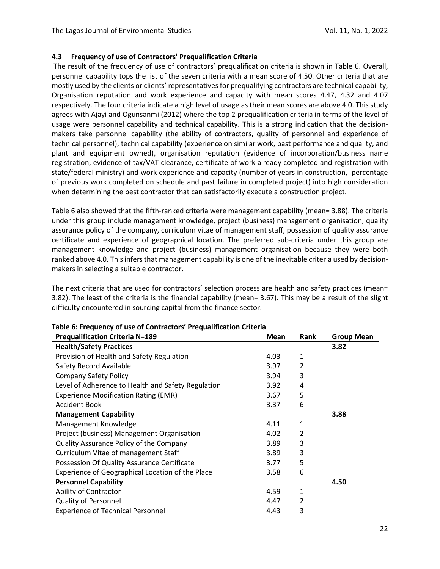#### **4.3 Frequency of use of Contractors' Prequalification Criteria**

 The result of the frequency of use of contractors' prequalification criteria is shown in Table 6. Overall, personnel capability tops the list of the seven criteria with a mean score of 4.50. Other criteria that are mostly used by the clients or clients' representatives for prequalifying contractors are technical capability, Organisation reputation and work experience and capacity with mean scores 4.47, 4.32 and 4.07 respectively. The four criteria indicate a high level of usage as their mean scores are above 4.0. This study agrees with Ajayi and Ogunsanmi (2012) where the top 2 prequalification criteria in terms of the level of usage were personnel capability and technical capability. This is a strong indication that the decisionmakers take personnel capability (the ability of contractors, quality of personnel and experience of technical personnel), technical capability (experience on similar work, past performance and quality, and plant and equipment owned), organisation reputation (evidence of incorporation/business name registration, evidence of tax/VAT clearance, certificate of work already completed and registration with state/federal ministry) and work experience and capacity (number of years in construction, percentage of previous work completed on schedule and past failure in completed project) into high consideration when determining the best contractor that can satisfactorily execute a construction project.

Table 6 also showed that the fifth-ranked criteria were management capability (mean= 3.88). The criteria under this group include management knowledge, project (business) management organisation, quality assurance policy of the company, curriculum vitae of management staff, possession of quality assurance certificate and experience of geographical location. The preferred sub-criteria under this group are management knowledge and project (business) management organisation because they were both ranked above 4.0. This infers that management capability is one of the inevitable criteria used by decisionmakers in selecting a suitable contractor.

The next criteria that are used for contractors' selection process are health and safety practices (mean= 3.82). The least of the criteria is the financial capability (mean= 3.67). This may be a result of the slight difficulty encountered in sourcing capital from the finance sector.

| <b>Prequalification Criteria N=189</b>             | Mean | Rank           | <b>Group Mean</b> |
|----------------------------------------------------|------|----------------|-------------------|
| <b>Health/Safety Practices</b>                     |      |                | 3.82              |
| Provision of Health and Safety Regulation          | 4.03 | 1              |                   |
| Safety Record Available                            | 3.97 | $\overline{2}$ |                   |
| <b>Company Safety Policy</b>                       | 3.94 | 3              |                   |
| Level of Adherence to Health and Safety Regulation | 3.92 | 4              |                   |
| <b>Experience Modification Rating (EMR)</b>        | 3.67 | 5              |                   |
| <b>Accident Book</b>                               | 3.37 | 6              |                   |
| <b>Management Capability</b>                       |      |                | 3.88              |
| Management Knowledge                               | 4.11 | 1              |                   |
| Project (business) Management Organisation         | 4.02 | $\mathcal{P}$  |                   |
| Quality Assurance Policy of the Company            | 3.89 | 3              |                   |
| Curriculum Vitae of management Staff               | 3.89 | 3              |                   |
| Possession Of Quality Assurance Certificate        | 3.77 | 5              |                   |
| Experience of Geographical Location of the Place   | 3.58 | 6              |                   |
| <b>Personnel Capability</b>                        |      |                | 4.50              |
| Ability of Contractor                              | 4.59 | 1              |                   |
| <b>Quality of Personnel</b>                        | 4.47 | 2              |                   |
| <b>Experience of Technical Personnel</b>           | 4.43 | 3              |                   |
|                                                    |      |                |                   |

#### **Table 6: Frequency of use of Contractors' Prequalification Criteria**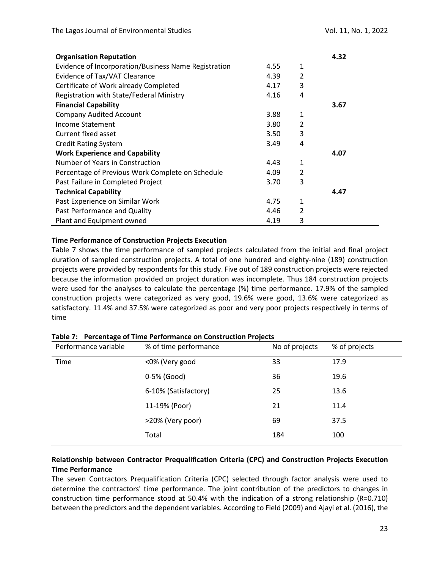| <b>Organisation Reputation</b>                       |      |                | 4.32 |
|------------------------------------------------------|------|----------------|------|
| Evidence of Incorporation/Business Name Registration | 4.55 | 1              |      |
| Evidence of Tax/VAT Clearance                        | 4.39 | $\overline{2}$ |      |
| Certificate of Work already Completed                | 4.17 | 3              |      |
| Registration with State/Federal Ministry             | 4.16 | 4              |      |
| <b>Financial Capability</b>                          |      |                | 3.67 |
| <b>Company Audited Account</b>                       | 3.88 | $\mathbf{1}$   |      |
| Income Statement                                     | 3.80 | $\mathfrak{p}$ |      |
| Current fixed asset                                  | 3.50 | 3              |      |
| <b>Credit Rating System</b>                          | 3.49 | 4              |      |
| <b>Work Experience and Capability</b>                |      |                | 4.07 |
| Number of Years in Construction                      | 4.43 | 1              |      |
| Percentage of Previous Work Complete on Schedule     | 4.09 | $\overline{2}$ |      |
| Past Failure in Completed Project                    | 3.70 | 3              |      |
| <b>Technical Capability</b>                          |      |                | 4.47 |
| Past Experience on Similar Work                      | 4.75 | 1              |      |
| Past Performance and Quality                         | 4.46 | $\mathfrak{p}$ |      |
| Plant and Equipment owned                            | 4.19 | 3              |      |

#### **Time Performance of Construction Projects Execution**

Table 7 shows the time performance of sampled projects calculated from the initial and final project duration of sampled construction projects. A total of one hundred and eighty-nine (189) construction projects were provided by respondents for this study. Five out of 189 construction projects were rejected because the information provided on project duration was incomplete. Thus 184 construction projects were used for the analyses to calculate the percentage (%) time performance. 17.9% of the sampled construction projects were categorized as very good, 19.6% were good, 13.6% were categorized as satisfactory. 11.4% and 37.5% were categorized as poor and very poor projects respectively in terms of time

| Performance variable | % of time performance | No of projects | % of projects |
|----------------------|-----------------------|----------------|---------------|
| Time                 | <0% (Very good        | 33             | 17.9          |
|                      | 0-5% (Good)           | 36             | 19.6          |
|                      | 6-10% (Satisfactory)  | 25             | 13.6          |
|                      | 11-19% (Poor)         | 21             | 11.4          |
|                      | >20% (Very poor)      | 69             | 37.5          |
|                      | Total                 | 184            | 100           |
|                      |                       |                |               |

**Table 7: Percentage of Time Performance on Construction Projects** 

## **Relationship between Contractor Prequalification Criteria (CPC) and Construction Projects Execution Time Performance**

The seven Contractors Prequalification Criteria (CPC) selected through factor analysis were used to determine the contractors' time performance. The joint contribution of the predictors to changes in construction time performance stood at 50.4% with the indication of a strong relationship (R=0.710) between the predictors and the dependent variables. According to Field (2009) and Ajayi et al. (2016), the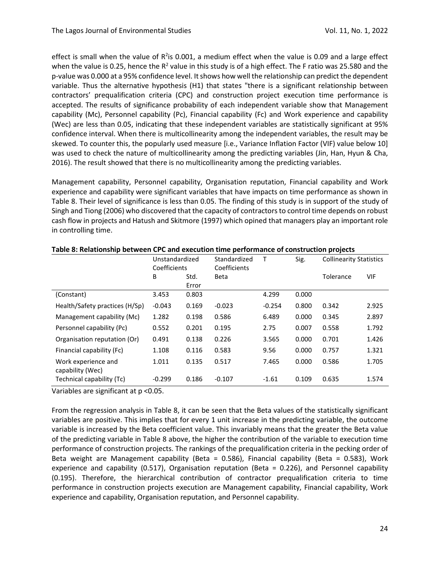effect is small when the value of  $R^2$ is 0.001, a medium effect when the value is 0.09 and a large effect when the value is 0.25, hence the  $R^2$  value in this study is of a high effect. The F ratio was 25.580 and the p-value was 0.000 at a 95% confidence level. It shows how well the relationship can predict the dependent variable. Thus the alternative hypothesis (H1) that states "there is a significant relationship between contractors' prequalification criteria (CPC) and construction project execution time performance is accepted. The results of significance probability of each independent variable show that Management capability (Mc), Personnel capability (Pc), Financial capability (Fc) and Work experience and capability (Wec) are less than 0.05, indicating that these independent variables are statistically significant at 95% confidence interval. When there is multicollinearity among the independent variables, the result may be skewed. To counter this, the popularly used measure [i.e., Variance Inflation Factor (VIF) value below 10] was used to check the nature of multicollinearity among the predicting variables (Jin, Han, Hyun & Cha, 2016). The result showed that there is no multicollinearity among the predicting variables.

Management capability, Personnel capability, Organisation reputation, Financial capability and Work experience and capability were significant variables that have impacts on time performance as shown in Table 8. Their level of significance is less than 0.05. The finding of this study is in support of the study of Singh and Tiong (2006) who discovered that the capacity of contractors to control time depends on robust cash flow in projects and Hatush and Skitmore (1997) which opined that managers play an important role in controlling time.

|                                         | Unstandardized<br>Coefficients |               | Sig.<br>Standardized<br>т<br>Coefficients |          |       | <b>Collinearity Statistics</b> |       |
|-----------------------------------------|--------------------------------|---------------|-------------------------------------------|----------|-------|--------------------------------|-------|
|                                         | B                              | Std.<br>Error | <b>Beta</b>                               |          |       | Tolerance                      | VIF   |
| (Constant)                              | 3.453                          | 0.803         |                                           | 4.299    | 0.000 |                                |       |
| Health/Safety practices (H/Sp)          | $-0.043$                       | 0.169         | $-0.023$                                  | $-0.254$ | 0.800 | 0.342                          | 2.925 |
| Management capability (Mc)              | 1.282                          | 0.198         | 0.586                                     | 6.489    | 0.000 | 0.345                          | 2.897 |
| Personnel capability (Pc)               | 0.552                          | 0.201         | 0.195                                     | 2.75     | 0.007 | 0.558                          | 1.792 |
| Organisation reputation (Or)            | 0.491                          | 0.138         | 0.226                                     | 3.565    | 0.000 | 0.701                          | 1.426 |
| Financial capability (Fc)               | 1.108                          | 0.116         | 0.583                                     | 9.56     | 0.000 | 0.757                          | 1.321 |
| Work experience and<br>capability (Wec) | 1.011                          | 0.135         | 0.517                                     | 7.465    | 0.000 | 0.586                          | 1.705 |
| Technical capability (Tc)               | $-0.299$                       | 0.186         | $-0.107$                                  | $-1.61$  | 0.109 | 0.635                          | 1.574 |

**Table 8: Relationship between CPC and execution time performance of construction projects** 

Variables are significant at p <0.05.

From the regression analysis in Table 8, it can be seen that the Beta values of the statistically significant variables are positive. This implies that for every 1 unit increase in the predicting variable, the outcome variable is increased by the Beta coefficient value. This invariably means that the greater the Beta value of the predicting variable in Table 8 above, the higher the contribution of the variable to execution time performance of construction projects. The rankings of the prequalification criteria in the pecking order of Beta weight are Management capability (Beta = 0.586), Financial capability (Beta = 0.583), Work experience and capability (0.517), Organisation reputation (Beta = 0.226), and Personnel capability (0.195). Therefore, the hierarchical contribution of contractor prequalification criteria to time performance in construction projects execution are Management capability, Financial capability, Work experience and capability, Organisation reputation, and Personnel capability.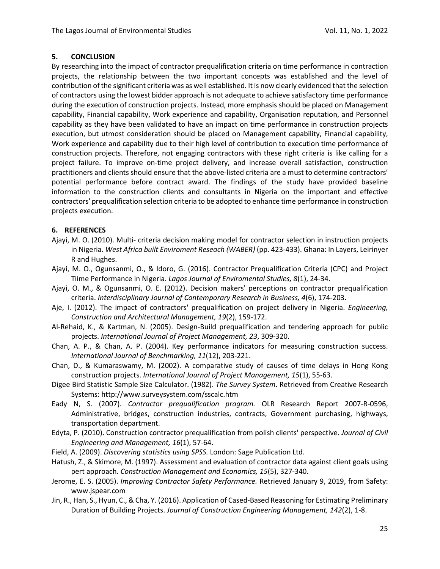## **5. CONCLUSION**

By researching into the impact of contractor prequalification criteria on time performance in contraction projects, the relationship between the two important concepts was established and the level of contribution of the significant criteria was as well established. It is now clearly evidenced that the selection of contractors using the lowest bidder approach is not adequate to achieve satisfactory time performance during the execution of construction projects. Instead, more emphasis should be placed on Management capability, Financial capability, Work experience and capability, Organisation reputation, and Personnel capability as they have been validated to have an impact on time performance in construction projects execution, but utmost consideration should be placed on Management capability, Financial capability, Work experience and capability due to their high level of contribution to execution time performance of construction projects. Therefore, not engaging contractors with these right criteria is like calling for a project failure. To improve on-time project delivery, and increase overall satisfaction, construction practitioners and clients should ensure that the above-listed criteria are a must to determine contractors' potential performance before contract award. The findings of the study have provided baseline information to the construction clients and consultants in Nigeria on the important and effective contractors' prequalification selection criteria to be adopted to enhance time performance in construction projects execution.

## **6. REFERENCES**

- Ajayi, M. O. (2010). Multi- criteria decision making model for contractor selection in instruction projects in Nigeria. *West Africa built Enviroment Reseach (WABER)* (pp. 423-433). Ghana: In Layers, Leirinyer R and Hughes.
- Ajayi, M. O., Ogunsanmi, O., & Idoro, G. (2016). Contractor Prequalification Criteria (CPC) and Project Tiime Performance in Nigeria. *Lagos Journal of Enviromental Studies, 8*(1), 24-34.
- Ajayi, O. M., & Ogunsanmi, O. E. (2012). Decision makers' perceptions on contractor prequalification criteria. *Interdisciplinary Journal of Contemporary Research in Business, 4*(6), 174-203.
- Aje, I. (2012). The impact of contractors' prequalification on project delivery in Nigeria. *Engineering, Construction and Architectural Management, 19*(2), 159-172.
- Al-Rehaid, K., & Kartman, N. (2005). Design-Build prequalification and tendering approach for public projects. *International Journal of Project Management, 23*, 309-320.
- Chan, A. P., & Chan, A. P. (2004). Key performance indicators for measuring construction success. *International Journal of Benchmarking, 11*(12), 203-221.
- Chan, D., & Kumaraswamy, M. (2002). A comparative study of causes of time delays in Hong Kong construction projects. *International Journal of Project Management, 15*(1), 55-63.
- Digee Bird Statistic Sample Size Calculator. (1982). *The Survey System*. Retrieved from Creative Research Systems: http://www.surveysystem.com/sscalc.htm
- Eady N, S. (2007). *Contractor prequalification program.* OLR Research Report 2007-R-0596, Administrative, bridges, construction industries, contracts, Government purchasing, highways, transportation department.
- Edyta, P. (2010). Construction contractor prequalification from polish clients' perspective. *Journal of Civil Engineering and Management, 16*(1), 57-64.
- Field, A. (2009). *Discovering statistics using SPSS.* London: Sage Publication Ltd.
- Hatush, Z., & Skimore, M. (1997). Assessment and evaluation of contractor data against client goals using pert approach. *Construction Management and Economics, 15*(5), 327-340.
- Jerome, E. S. (2005). *Improving Contractor Safety Performance.* Retrieved January 9, 2019, from Safety: www.jspear.com
- Jin, R., Han, S., Hyun, C., & Cha, Y. (2016). Application of Cased-Based Reasoning for Estimating Preliminary Duration of Building Projects. *Journal of Construction Engineering Management, 142*(2), 1-8.